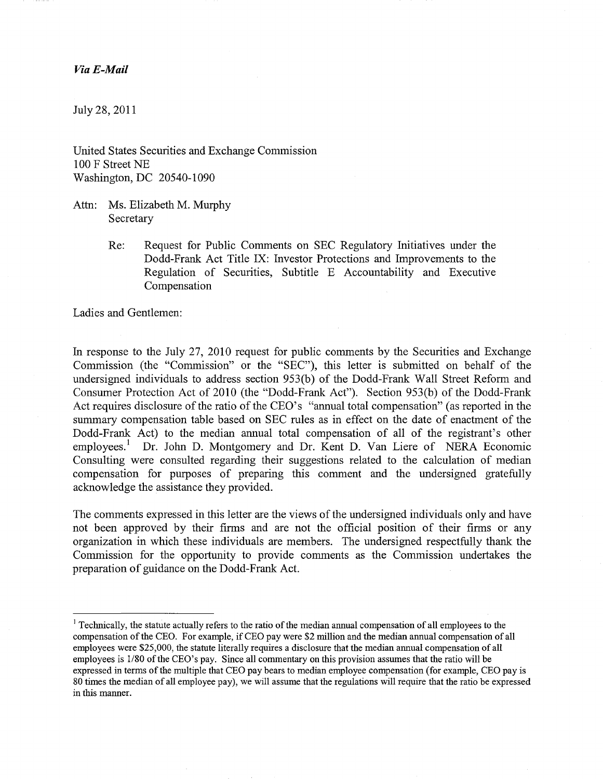### *ViaE-Mail*

July 28,2011

United States Securities and Exchange Commission 100 F Street NE Washington, DC 20540-1090

- Attn: Ms. Elizabeth M. Murphy Secretary
	- Re: Request for Public Comments on SEC Regulatory Initiatives under the Dodd-Frank Act Title IX: Investor Protections and Improvements to the Regulation of Securities, Subtitle E Accountability and Executive Compensation

Ladies and Gentlemen:

In response to the July 27, 2010 request for public comments by the Securities and Exchange Commission (the "Commission" or the "SEC"), this letter is submitted on behalf of the undersigned individuals to address section 953(b) of the Dodd-Frank Wall Street Reform and Consumer Protection Act of 2010 (the "Dodd-Frank Act"). Section 953(b) of the Dodd-Frank Act requires disclosure of the ratio of the CEO's "annual total compensation" (as reported in the summary compensation table based on SEC rules as in effect on the date of enactment of the Dodd-Frank Act) to the median annual total compensation of all of the registrant's other employees.<sup>1</sup> Dr. John D. Montgomery and Dr. Kent D. Van Liere of NERA Economic Consulting were consulted regarding their suggestions related to the calculation of median compensation for purposes of preparing this comment and the undersigned gratefully acknowledge the assistance they provided.

The comments expressed in this letter are the views of the undersigned individuals only and have not been approved by their firms and are not the official position of their firms or any organization in which these individuals are members. The undersigned respectfully thank the Commission for the opportunity to provide comments as the Commission undertakes the preparation of guidance on the Dodd-Frank Act.

<sup>&</sup>lt;sup>1</sup> Technically, the statute actually refers to the ratio of the median annual compensation of all employees to the compensation ofthe CEO. For example, if CEO pay were \$2 million and the median annual compensation of all employees were \$25,000, the statute literally requires a disclosure that the median annual compensation of all employees is 1/80 of the CEO's pay. Since all commentary on this provision assumes that the ratio will be expressed in terms of the multiple that CEO pay bears to median employee compensation (for example, CEO pay is 80 times the median of all employee pay), we will assume that the regulations will require that the ratio be expressed in this manner.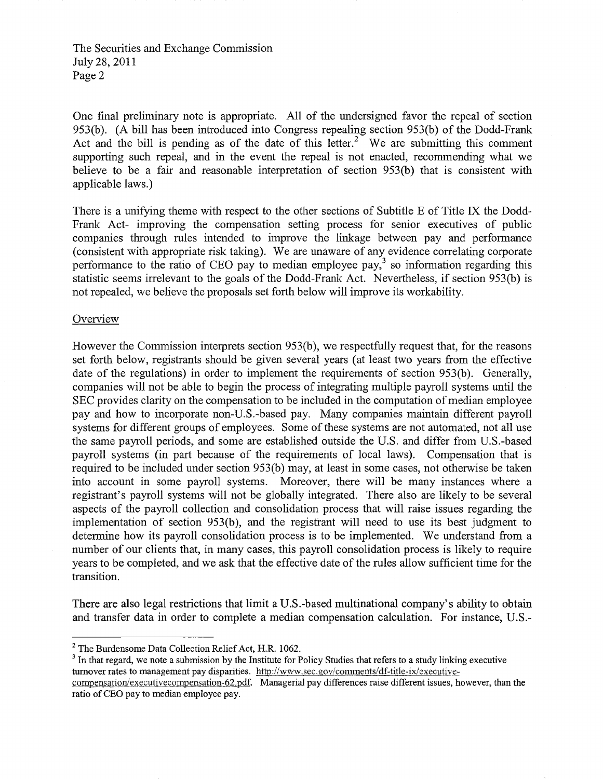One final preliminary note is appropriate. All of the undersigned favor the repeal of section 953(b). (A bill has been introduced into Congress repealing section 953(b) of the Dodd-Frank Act and the bill is pending as of the date of this letter.<sup>2</sup> We are submitting this comment supporting such repeal, and in the event the repeal is not enacted, recommending what we believe to be a fair and reasonable interpretation of section 953(b) that is consistent with applicable laws.)

There is a unifying theme with respect to the other sections of Subtitle E of Title IX the Dodd-Frank Act- improving the compensation setting process for senior executives of public companies through rules intended to improve the linkage between pay and performance (consistent with appropriate risk taking). Weare unaware of any evidence correlating corporate performance to the ratio of CEO pay to median employee pay,<sup>3</sup> so information regarding this statistic seems irrelevant to the goals of the Dodd-Frank Act. Nevertheless, if section 953(b) is not repealed, we believe the proposals set forth below will improve its workability.

## **Overview**

However the Commission interprets section 953(b), we respectfully request that, for the reasons set forth below, registrants should be given several years (at least two years from the effective date of the regulations) in order to implement the requirements of section 953(b). Generally, companies will not be able to begin the process of integrating multiple payroll systems until the SEC provides clarity on the compensation to be included in the computation of median employee pay and how to incorporate non-U.S.-based pay. Many companies maintain different payroll systems for different groups of employees. Some of these systems are not automated, not all use the same payroll periods, and some are established outside the U.S. and differ from U.S.-based payroll systems (in part because of the requirements of local laws). Compensation that is required to be included under section 953(b) may, at least in some cases, not otherwise be taken into account in some payroll systems. Moreover, there will be many instances where a registrant's payroll systems will not be globally integrated. There also are likely to be several aspects of the payroll collection and consolidation process that will raise issues regarding the implementation of section 953(b), and the registrant will need to use its best judgment to determine how its payroll consolidation process is to be implemented. We understand from a number of our clients that, in many cases, this payroll consolidation process is likely to require years to be completed, and we ask that the effective date of the rules allow sufficient time for the transition.

There are also legal restrictions that limit a U.S.-based multinational company's ability to obtain and transfer data in order to complete a median compensation calculation. For instance, U.S.

<sup>3</sup> In that regard, we note a submission by the Institute for Policy Studies that refers to a study linking executive turnover rates to management pay disparities. http://www.sec.gov/comments/df-title-ix/executive

<sup>2</sup> The Burdensome Data Collection Relief Act, H.R. 1062.

compensation/executive compensation-62.pdf. Managerial pay differences raise different issues, however, than the ratio of CEO pay to median employee pay.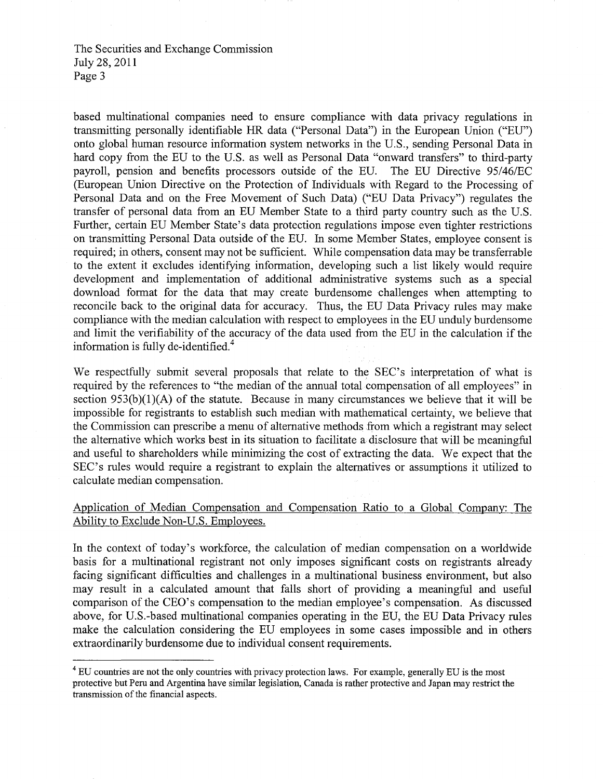based multinational companies need to ensure compliance with data privacy regulations in transmitting personally identifiable HR data ("Personal Data") in the European Union ("EU") onto global human resource information system networks in the US., sending Personal Data in hard copy from the EU to the US. as well as Personal Data "onward transfers" to third-party payroll, pension and benefits processors outside of the EU The EU Directive *95/46/EC*  (European Union Directive on the Protection of Individuals with Regard to the Processing of Personal Data and on the Free Movement of Such Data) ("EU Data Privacy") regulates the transfer of personal data from an EU Member State to a third party country such as the US. Further, certain EU Member State's data protection regulations impose even tighter restrictions on transmitting Personal Data outside of the EU. In some Member States, employee consent is required; in others, consent may not be sufficient. While compensation data may be transferrable to the extent it excludes identifying information, developing such a list likely would require development and implementation of additional administrative systems such as a special download format for the data that may create burdensome challenges when attempting to reconcile back to the original data for accuracy. Thus, the EU Data Privacy rules may make compliance with the median calculation with respect to employees in the EU unduly burdensome and limit the verifiability of the accuracy of the data used from the EU in the calculation if the information is fully de-identified.<sup>4</sup>

We respectfully submit several proposals that relate to the SEC's interpretation of what is required by the references to "the median of the annual total compensation of all employees" in section  $953(b)(1)(A)$  of the statute. Because in many circumstances we believe that it will be impossible for registrants to establish such median with mathematical certainty, we believe that the Commission can prescribe a menu of alternative methods from which a registrant may select the alternative which works best in its situation to facilitate a disclosure that will be meaningful and useful to shareholders while minimizing the cost of extracting the data. We expect that the SEC's rules would require a registrant to explain the alternatives or assumptions it utilized to calculate median compensation.

# Application of Median Compensation and Compensation Ratio to a Global Company: The Ability to Exclude Non-U.S. Employees.

In the context of today's workforce, the calculation of median compensation on a worldwide basis for a multinational registrant not only imposes significant costs on registrants already facing significant difficulties and challenges in a multinational business environment, but also may result in a calculated amount that falls short of providing a meaningful and useful comparison of the CEO's compensation to the median employee's compensation. As discussed above, for US.-based multinational companies operating in the EU, the EU Data Privacy rules make the calculation considering the EU employees in some cases impossible and in others extraordinarily burdensome due to individual consent requirements.

<sup>&</sup>lt;sup>4</sup> EU countries are not the only countries with privacy protection laws. For example, generally EU is the most protective but Peru and Argentina have similar legislation, Canada is rather protective and Japan may restrict the transmission of the financial aspects.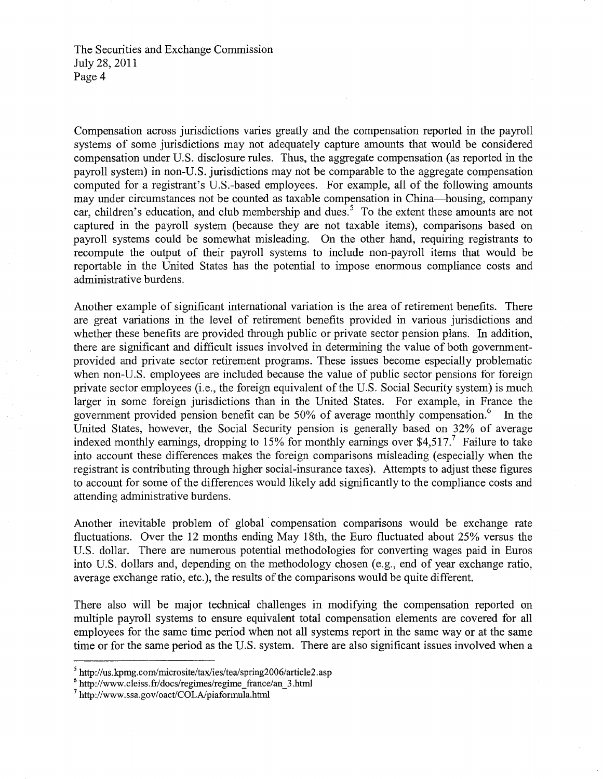Compensation across jurisdictions varies greatly and the compensation reported in the payroll systems of some jurisdictions may not adequately capture amounts that would be considered compensation under U.S. disclosure rules. Thus, the aggregate compensation (as reported in the payroll system) in non-U.S. jurisdictions may not be comparable to the aggregate compensation computed for a registrant's U.S.-based employees. For example, all of the following amounts may under circumstances not be counted as taxable compensation in China-housing, company car, children's education, and club membership and dues.<sup>5</sup> To the extent these amounts are not captured in the payroll system (because they are not taxable items), comparisons based on payroll systems could be somewhat misleading. On the other hand, requiring registrants to recompute the output of their payroll systems to include non-payroll items that would be reportable in the United States has the potential to impose enormous compliance costs and administrative burdens.

Another example of significant international variation is the area of retirement benefits. There are great variations in the level of retirement benefits provided in various jurisdictions and whether these benefits are provided through public or private sector pension plans. In addition, there are significant and difficult issues involved in determining the value of both governmentprovided and private sector retirement programs. These issues become especially problematic when non-U.S. employees are included because the value of public sector pensions for foreign private sector employees (i.e., the foreign equivalent of the U.S. Social Security system) is much larger in some foreign jurisdictions than in the United States. For example, in France the government provided pension benefit can be 50% of average monthly compensation.<sup>6</sup> In the United States, however, the Social Security pension is generally based on 32% of average indexed monthly earnings, dropping to 15% for monthly earnings over \$4,517.<sup>7</sup> Failure to take into account these differences makes the foreign comparisons misleading (especially when the registrant is contributing through higher social-insurance taxes). Attempts to adjust these figures to account for some of the differences would likely add significantly to the compliance costs and attending administrative burdens.

Another inevitable problem of global· compensation comparisons would be exchange rate fluctuations. Over the 12 months ending May 18th, the Euro fluctuated about 25% versus the U.S. dollar. There are numerous potential methodologies for converting wages paid in Euros into U.S. dollars and, depending on the methodology chosen (e.g., end of year exchange ratio, average exchange ratio, etc.), the results of the comparisons would be quite different.

There also will be major technical challenges in modifying the compensation reported on multiple payroll systems to ensure equivalent total compensation elements are covered for all employees for the same time period when not all systems report in the same way or at the same time or for the same period as the U.S. system. There are also significant issues involved when a

 $5$  http://us.kpmg.com/microsite/tax/ies/tea/spring2006/article2.asp

 $6$  http://www.cleiss.fr/docs/regimes/regime\_france/an\_3.html

 $^7$  http://www.ssa.gov/oact/COLA/piaformula.html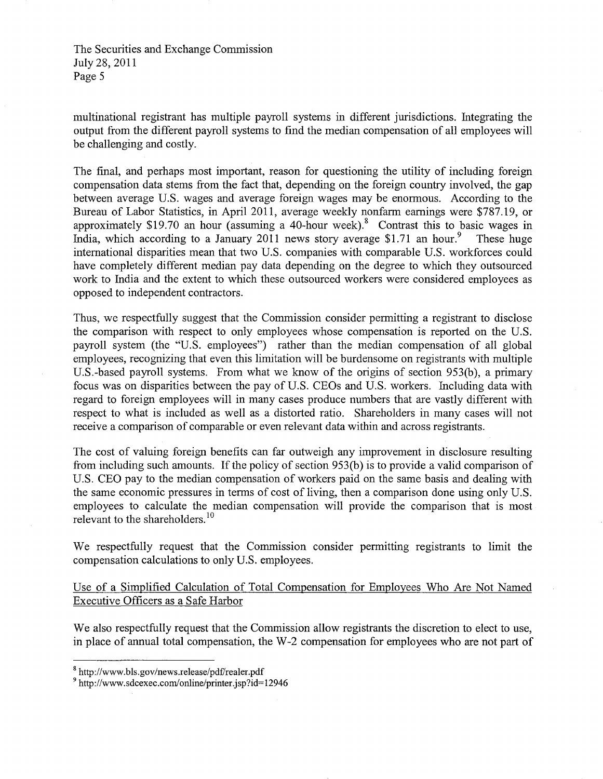multinational registrant has multiple payroll systems in different jurisdictions. futegrating the output from the different payroll systems to find the median compensation of all employees will be challenging and costly.

The final, and perhaps most important, reason for questioning the utility of including foreign compensation data stems from the fact that, depending on the foreign country involved, the gap between average U.S. wages and average foreign wages may be enormous. According to the Bureau of Labor Statistics, in April 2011, average weekly nonfarm earnings were \$787.19, or approximately \$19.70 an hour (assuming a 40-hour week).<sup>8</sup> Contrast this to basic wages in India, which according to a January 2011 news story average \$1.71 an hour.<sup>9</sup> These huge international disparities mean that two U.S. companies with comparable U.S. workforces could have completely different median pay data depending on the degree to which they outsourced work to fudia and the extent to which these outsourced workers were considered employees as opposed to independent contractors.

Thus, we respectfully suggest that the Commission consider permitting a registrant to disclose the comparison with respect to only employees whose compensation is reported on the U.S. payroll system (the "U.S. employees") rather than the median compensation of all global employees, recognizing that even this limitation will be burdensome on registrants with multiple U.S.-based payroll systems. From what we know of the origins of section 953(b), a primary focus was on disparities between the pay of U.S. CEOs and U.S. workers. fucluding data with regard to foreign employees will in many cases produce numbers that are vastly different with respect to what is included as well as a distorted ratio. Shareholders in many cases will not receive a comparison of comparable or even relevant data within and across registrants.

The cost of valuing foreign benefits can far outweigh any improvement in disclosure resulting from including such amounts. If the policy of section 953(b) is to provide a valid comparison of U.S. CEO pay to the median compensation of workers paid on the same basis and dealing with the same economic pressures in terms of cost of living, then a comparison done using only U.S. employees to calculate the median compensation will provide the comparison that is most relevant to the shareholders.<sup>10</sup>

We respectfully request that the Commission consider permitting registrants to limit the compensation calculations to only U.S. employees.

Use of a Simplified Calculation of Total Compensation for Employees Who Are Not Named Executive Officers as a Safe Harbor

We also respectfully request that the Commission allow registrants the discretion to elect to use, in place of annual total compensation, the W -2 compensation for employees who are not part of

 $8$  http://www.bls.gov/news.release/pdf/realer.pdf

 $9$  http://www.sdcexec.com/online/printer.jsp?id=12946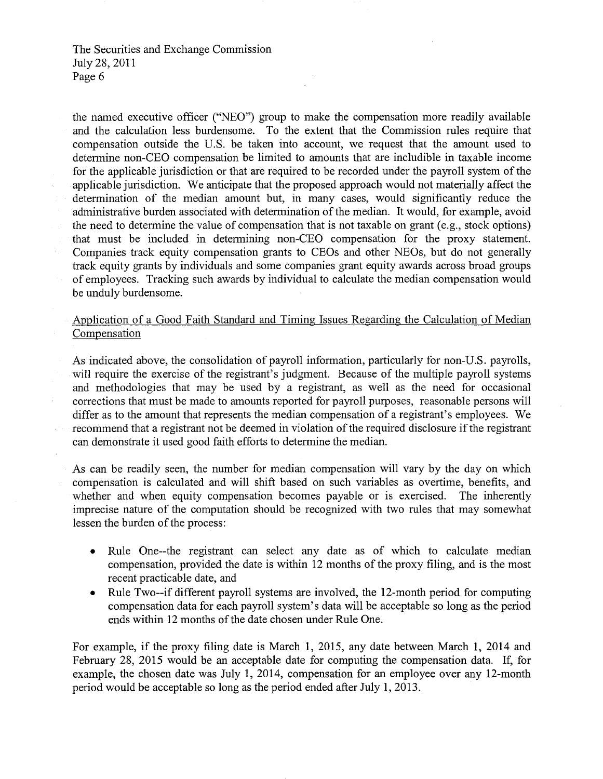the named executive officer ("NEO") group to make the compensation more readily available and the calculation less burdensome. To the extent that the Commission rules require that compensation outside the U.S. be taken into account, we request that the amount used to determine non-CEO compensation be limited to amounts that are includible in taxable income for the applicable jurisdiction or that are required to be recorded under the payroll system of the applicable jurisdiction. We anticipate that the proposed approach would not materially affect the determination of the median amount but, in many cases, would significantly reduce the administrative burden associated with determination of the median. It would, for example, avoid the need to determine the value of compensation that is not taxable on grant (e.g., stock options) that must be included in determining non-CEO compensation for the proxy statement. Companies track equity compensation grants to CEOs and other NEOs, but do not generally track equity grants by individuals and some companies grant equity awards across broad groups of employees. Tracking such awards by individual to calculate the median compensation would be unduly burdensome.

# Application of a Good Faith Standard and Timing Issues Regarding the Calculation of Median Compensation

As indicated above, the consolidation of payroll information, particularly for non-U.S. payrolls, will require the exercise of the registrant's judgment. Because of the multiple payroll systems and methodologies that may be used by a registrant, as well as the need for occasional corrections that must be made to amounts reported for payroll purposes, reasonable persons will differ as to the amount that represents the median compensation of a registrant's employees. We recommend that a registrant not be deemed in violation of the required disclosure if the registrant can demonstrate it used good faith efforts to determine the median.

As can be readily seen, the number for median compensation will vary by the day on which compensation is calculated and will shift based on such variables as overtime, benefits, and whether and when equity compensation becomes payable or is exercised. The inherently imprecise nature of the computation should be recognized with two rules that may somewhat lessen the burden of the process:

- Rule One--the registrant can select any date as of which to calculate median compensation, provided the date is within 12 months of the proxy filing, and is the most recent practicable date, and
- Rule Two--if different payroll systems are involved, the 12-month period for computing compensation data for each payroll system's data will be acceptable so long as the period ends within 12 months of the date chosen under Rule One.

For example, if the proxy filing date is March 1, 2015, any date between March 1, 2014 and February 28, 2015 would be an acceptable date for computing the compensation data. If, for example, the chosen date was July 1, 2014, compensation for an employee over any 12-month period would be acceptable so long as the period ended after July 1,2013.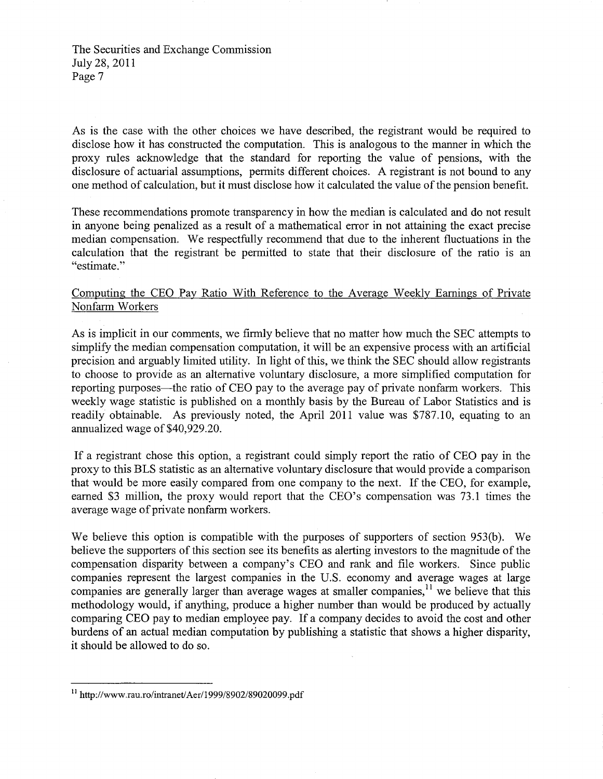As is the case with the other choices we have described, the registrant would be required to disclose how it has constructed the computation. This is analogous to the manner in which the proxy rules acknowledge that the standard for reporting the value of pensions, with the disclosure of actuarial assumptions, permits different choices. A registrant is not bound to any one method of calculation, but it must disclose how it calculated the value of the pension benefit.

These recommendations promote transparency in how the median is calculated and do not result in anyone being penalized as a result of a mathematical error in not attaining the exact precise median compensation. We respectfully recommend that due to the inherent fluctuations in the calculation that the registrant be pennitted to state that their disclosure of the ratio is an "estimate. "

# Computing the CEO Pay Ratio With Reference to the Average Weekly Earnings of Private Nonfarm Workers

As is implicit in our comments, we finnly believe that no matter how much the SEC attempts to simplify the median compensation computation, it will be an expensive process with an artificial precision and arguably limited utility. In light of this, we think the SEC should allow registrants to choose to provide as an alternative voluntary disclosure, a more simplified computation for reporting purposes—the ratio of CEO pay to the average pay of private nonfarm workers. This weekly wage statistic is published on a monthly basis by the Bureau of Labor Statistics and is readily obtainable. As previously noted, the April 2011 value was \$787.10, equating to an annualized wage of\$40,929.20.

If a registrant chose this option, a registrant could simply report the ratio of CEO pay in the proxy to this BLS statistic as an alternative voluntary disclosure that would provide a comparison that would be more easily compared from one company to the next. If the CEO, for example, earned \$3 million, the proxy would report that the CEO's compensation was 73.1 times the average wage of private nonfarm workers.

We believe this option is compatible with the purposes of supporters of section 953(b). We believe the supporters of this section see its benefits as alerting investors to the magnitude of the compensation disparity between a company's CEO and rank and file workers. Since public companies represent the largest companies in the U.S. economy and average wages at large companies are generally larger than average wages at smaller companies,  $\frac{11}{1}$  we believe that this methodology would, if anything, produce a higher number than would be produced by actually comparing CEO pay to median employee pay. If a company decides to avoid the cost and other burdens of an actual median computation by publishing a statistic that shows a higher disparity, it should be allowed to do so.

<sup>11</sup> *http://www.rau.ro/intranetJAerl1999/8902/8902*0099.pdf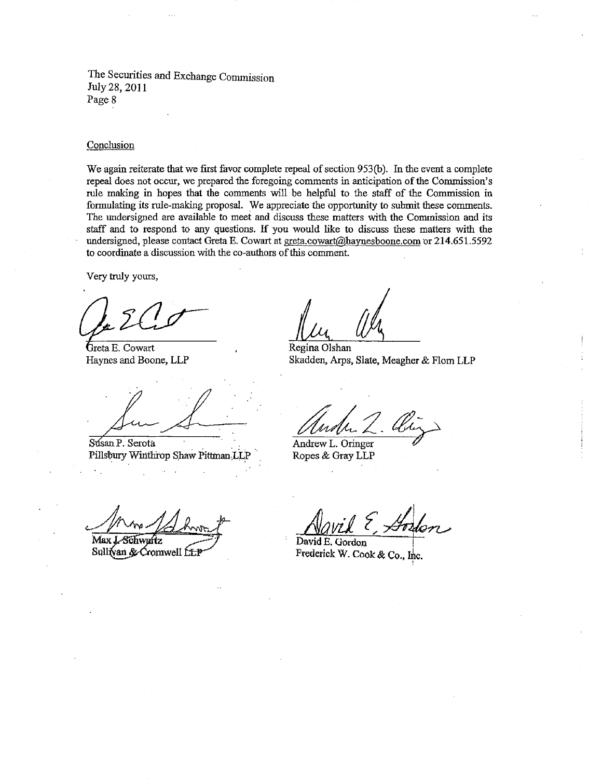#### Conclusion

We again reiterate that we first favor complete repeal of section 953(b). In the event a complete repeal does not occur, we prepared the foregoing comments in anticipation of the Commission's rule making in hopes that the comments will· be helpful to the staff of the Commission in formulating its rule-making proposal. We appreciate the opportunity to submit these comments. The undersigned are available to meet and discuss these matters with the Commission and its staff and to respond to any questions. If you would like to discuss these matters with the undersigned, please contact Greta E. Cowart at greta.cowart@haynesboone.com or 214.651.5592 to coordinate a discussion with the co-authors of this comment.

Very truly yours,

Greta E. Cowart

Susan P. Serota Pillsbury Winthrop Shaw Pittman LLP Ropes & Gray LLP

Regina Olshan Haynes and Boone, LLP Skadden, Arps, Slate, Meagher & Flom LLP

Andrew L. Oringer

Max J. Schwartz

Sullivan & Cromwell file

David *Aavil*  E. Gordon  $\frac{2}{\sqrt{2}}$ 

Frederick W. Cook & Co., Inc.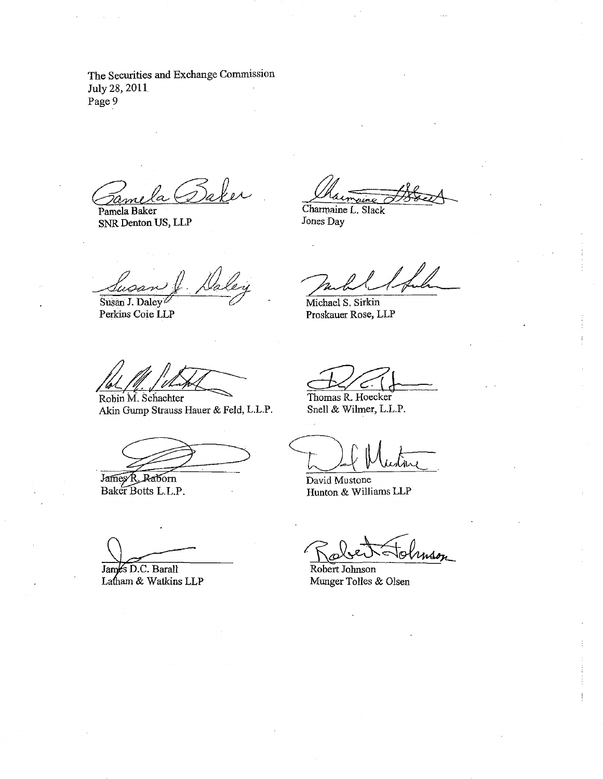Gamela Baker

Pamela Baker SNR Denton US, LLP

Chairmanne Breech

Charmaine L. Slack Jones Day

Susan J. Daley Perkins Coie LLP

*d&47C::* Robin M. Schachter

Akin Gump Strauss Hauer & Feld, L.L.P.

James R. Raborn<br>Baker Botts L.L.P.

Jack Sul

Michael S. Sirkin Proskauer Rose, LLP

Thomas R. Hoecker Snell & Wilmer, L.L.P.

David Mustone Hunton & Williams LLP

James D.C. Barall Latham & Watkins LLP

Robert Holmson

Munger Tolles & Olsen